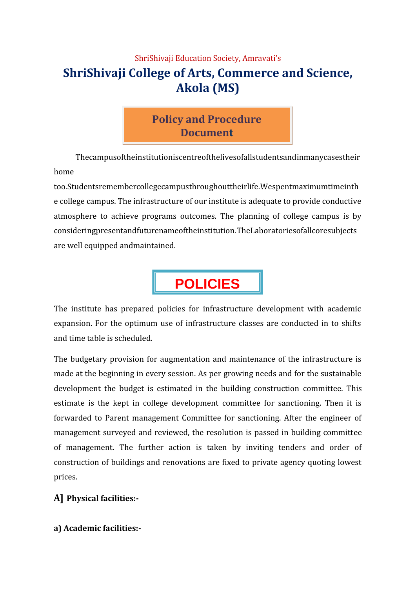## ShriShivaji Education Society, Amravati's **ShriShivaji College of Arts, Commerce and Science, Akola (MS)**

# **Policy and Procedure Document**

Thecampusoftheinstitutioniscentreofthelivesofallstudentsandinmanycasestheir home

too.Studentsremembercollegecampusthroughouttheirlife.Wespentmaximumtimeinth e college campus. The infrastructure of our institute is adequate to provide conductive atmosphere to achieve programs outcomes. The planning of college campus is by consideringpresentandfuturenameoftheinstitution.TheLaboratoriesofallcoresubjects are well equipped andmaintained.



The institute has prepared policies for infrastructure development with academic expansion. For the optimum use of infrastructure classes are conducted in to shifts and time table is scheduled.

The budgetary provision for augmentation and maintenance of the infrastructure is made at the beginning in every session. As per growing needs and for the sustainable development the budget is estimated in the building construction committee. This estimate is the kept in college development committee for sanctioning. Then it is forwarded to Parent management Committee for sanctioning. After the engineer of management surveyed and reviewed, the resolution is passed in building committee of management. The further action is taken by inviting tenders and order of construction of buildings and renovations are fixed to private agency quoting lowest prices.

## **A] Physical facilities:-**

**a) Academic facilities:-**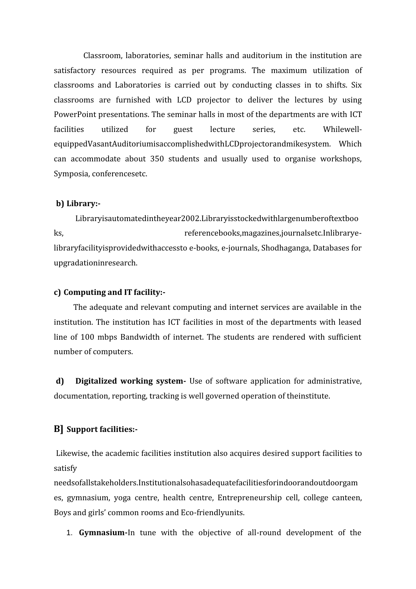Classroom, laboratories, seminar halls and auditorium in the institution are satisfactory resources required as per programs. The maximum utilization of classrooms and Laboratories is carried out by conducting classes in to shifts. Six classrooms are furnished with LCD projector to deliver the lectures by using PowerPoint presentations. The seminar halls in most of the departments are with ICT facilities utilized for guest lecture series, etc. Whilewell equippedVasantAuditoriumisaccomplishedwithLCDprojectorandmikesystem. Which can accommodate about 350 students and usually used to organise workshops, Symposia, conferencesetc.

#### **b) Library:-**

Libraryisautomatedintheyear2002.Libraryisstockedwithlargenumberoftextboo ks, referencebooks,magazines,journalsetc.Inlibraryelibraryfacilityisprovidedwithaccessto e-books, e-journals, Shodhaganga, Databases for upgradationinresearch.

#### **c) Computing and IT facility:-**

The adequate and relevant computing and internet services are available in the institution. The institution has ICT facilities in most of the departments with leased line of 100 mbps Bandwidth of internet. The students are rendered with sufficient number of computers.

**d) Digitalized working system-** Use of software application for administrative, documentation, reporting, tracking is well governed operation of theinstitute.

#### **B] Support facilities:-**

Likewise, the academic facilities institution also acquires desired support facilities to satisfy

needsofallstakeholders.Institutionalsohasadequatefacilitiesforindoorandoutdoorgam es, gymnasium, yoga centre, health centre, Entrepreneurship cell, college canteen, Boys and girls' common rooms and Eco-friendlyunits.

1. **Gymnasium-**In tune with the objective of all-round development of the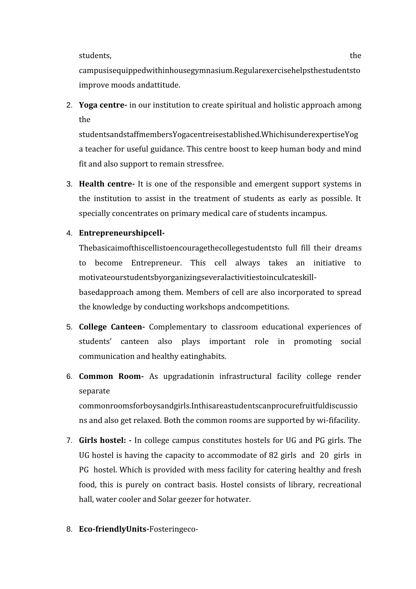students, the state of the state of the state  $\sim$ 

campusisequippedwithinhousegymnasium.Regularexercisehelpsthestudentsto improve moods andattitude.

2. **Yoga centre-** in our institution to create spiritual and holistic approach among the

studentsandstaffmembersYogacentreisestablished.WhichisunderexpertiseYog a teacher for useful guidance. This centre boost to keep human body and mind fit and also support to remain stressfree.

3. **Health centre-** It is one of the responsible and emergent support systems in the institution to assist in the treatment of students as early as possible. It specially concentrates on primary medical care of students incampus.

### 4. **Entrepreneurshipcell-**

Thebasicaimofthiscellistoencouragethecollegestudentsto full fill their dreams to become Entrepreneur. This cell always takes an initiative to motivateourstudentsbyorganizingseveralactivitiestoinculcateskill-

basedapproach among them. Members of cell are also incorporated to spread the knowledge by conducting workshops andcompetitions.

- 5. **College Canteen-** Complementary to classroom educational experiences of students' canteen also plays important role in promoting social communication and healthy eatinghabits.
- 6. **Common Room-** As upgradationin infrastructural facility college render separate

commonroomsforboysandgirls.Inthisareastudentscanprocurefruitfuldiscussio ns and also get relaxed. Both the common rooms are supported by wi-fifacility.

- 7. **Girls hostel: -** In college campus constitutes hostels for UG and PG girls. The UG hostel is having the capacity to accommodate of 82 girls and 20 girls in PG hostel. Which is provided with mess facility for catering healthy and fresh food, this is purely on contract basis. Hostel consists of library, recreational hall, water cooler and Solar geezer for hotwater.
- 8. **Eco-friendlyUnits-**Fosteringeco-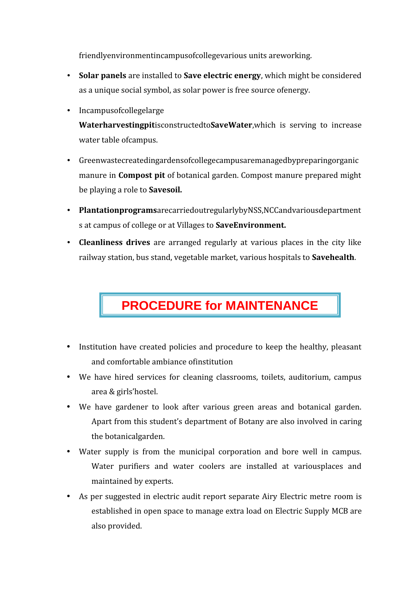friendlyenvironmentincampusofcollegevarious units areworking.

- **Solar panels** are installed to **Save electric energy**, which might be considered as a unique social symbol, as solar power is free source ofenergy.
- Incampusofcollegelarge

**Waterharvestingpit**isconstructedto**SaveWater**,which is serving to increase water table ofcampus.

- Greenwastecreatedingardensofcollegecampusaremanagedbypreparingorganic manure in **Compost pit** of botanical garden. Compost manure prepared might be playing a role to **Savesoil.**
- **Plantationprograms**arecarriedoutregularlybyNSS,NCCandvariousdepartment s at campus of college or at Villages to **SaveEnvironment.**
- **Cleanliness drives** are arranged regularly at various places in the city like railway station, bus stand, vegetable market, various hospitals to **Savehealth**.

# **PROCEDURE for MAINTENANCE**

- Institution have created policies and procedure to keep the healthy, pleasant and comfortable ambiance ofinstitution
- We have hired services for cleaning classrooms, toilets, auditorium, campus area & girls'hostel.
- We have gardener to look after various green areas and botanical garden. Apart from this student's department of Botany are also involved in caring the botanicalgarden.
- Water supply is from the municipal corporation and bore well in campus. Water purifiers and water coolers are installed at variousplaces and maintained by experts.
- As per suggested in electric audit report separate Airy Electric metre room is established in open space to manage extra load on Electric Supply MCB are also provided.